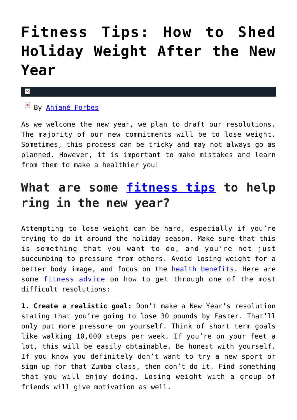## **[Fitness Tips: How to Shed](https://cupidspulse.com/133972/fitness-tips-shed-holiday-weight-new-year/) [Holiday Weight After the New](https://cupidspulse.com/133972/fitness-tips-shed-holiday-weight-new-year/) [Year](https://cupidspulse.com/133972/fitness-tips-shed-holiday-weight-new-year/)**

## ×

By [Ahjané Forbes](http://cupidspulse.com/133381/ahjane-forbes/)

As we welcome the new year, we plan to draft our resolutions. The majority of our new commitments will be to lose weight. Sometimes, this process can be tricky and may not always go as planned. However, it is important to make mistakes and learn from them to make a healthier you!

## **What are some [fitness tips](http://cupidspulse.com/fitness-health/) to help ring in the new year?**

Attempting to lose weight can be hard, especially if you're trying to do it around the holiday season. Make sure that this is something that you want to do, and you're not just succumbing to pressure from others. Avoid losing weight for a better body image, and focus on the **health benefits**. Here are some [fitness advice o](http://cupidspulse.com/?s=fitness)n how to get through one of the most difficult resolutions:

**1. Create a realistic goal:** Don't make a New Year's resolution stating that you're going to lose 30 pounds by Easter. That'll only put more pressure on yourself. Think of short term goals like walking 10,000 steps per week. If you're on your feet a lot, this will be easily obtainable. Be honest with yourself. If you know you definitely don't want to try a new sport or sign up for that Zumba class, then don't do it. Find something that you will enjoy doing. Losing weight with a group of friends will give motivation as well.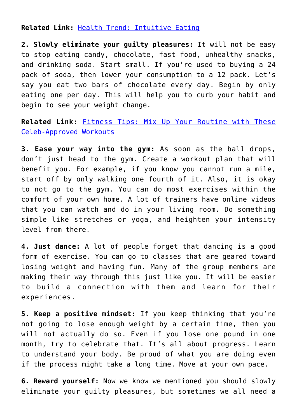**Related Link:** [Health Trend: Intuitive Eating](http://cupidspulse.com/131805/health-trend-intuitive-eating/)

**2. Slowly eliminate your guilty pleasures:** It will not be easy to stop eating candy, chocolate, fast food, unhealthy snacks, and drinking soda. Start small. If you're used to buying a 24 pack of soda, then lower your consumption to a 12 pack. Let's say you eat two bars of chocolate every day. Begin by only eating one per day. This will help you to curb your habit and begin to see your weight change.

**Related Link:** [Fitness Tips: Mix Up Your Routine with These](http://cupidspulse.com/133928/fitness-tips-mix-up-routine-celeb-approved-workouts/) [Celeb-Approved Workouts](http://cupidspulse.com/133928/fitness-tips-mix-up-routine-celeb-approved-workouts/)

**3. Ease your way into the gym:** As soon as the ball drops, don't just head to the gym. Create a workout plan that will benefit you. For example, if you know you cannot run a mile, start off by only walking one fourth of it. Also, it is okay to not go to the gym. You can do most exercises within the comfort of your own home. A lot of trainers have online videos that you can watch and do in your living room. Do something simple like stretches or yoga, and heighten your intensity level from there.

**4. Just dance:** A lot of people forget that dancing is a good form of exercise. You can go to classes that are geared toward losing weight and having fun. Many of the group members are making their way through this just like you. It will be easier to build a connection with them and learn for their experiences.

**5. Keep a positive mindset:** If you keep thinking that you're not going to lose enough weight by a certain time, then you will not actually do so. Even if you lose one pound in one month, try to celebrate that. It's all about progress. Learn to understand your body. Be proud of what you are doing even if the process might take a long time. Move at your own pace.

**6. Reward yourself:** Now we know we mentioned you should slowly eliminate your guilty pleasures, but sometimes we all need a